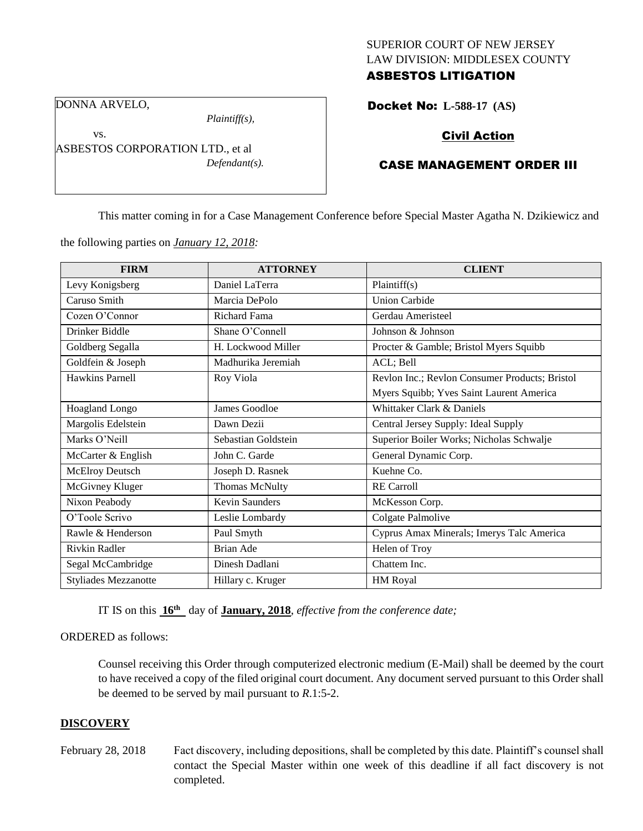# SUPERIOR COURT OF NEW JERSEY LAW DIVISION: MIDDLESEX COUNTY ASBESTOS LITIGATION

DONNA ARVELO,

vs.

*Plaintiff(s),*

ASBESTOS CORPORATION LTD., et al *Defendant(s).*

# Docket No: **L-588-17 (AS)**

# Civil Action

# CASE MANAGEMENT ORDER III

This matter coming in for a Case Management Conference before Special Master Agatha N. Dzikiewicz and

the following parties on *January 12, 2018:*

| <b>FIRM</b>                 | <b>ATTORNEY</b>       | <b>CLIENT</b>                                  |
|-----------------------------|-----------------------|------------------------------------------------|
| Levy Konigsberg             | Daniel LaTerra        | Plaintiff(s)                                   |
| Caruso Smith                | Marcia DePolo         | <b>Union Carbide</b>                           |
| Cozen O'Connor              | Richard Fama          | Gerdau Ameristeel                              |
| Drinker Biddle              | Shane O'Connell       | Johnson & Johnson                              |
| Goldberg Segalla            | H. Lockwood Miller    | Procter & Gamble; Bristol Myers Squibb         |
| Goldfein & Joseph           | Madhurika Jeremiah    | ACL; Bell                                      |
| Hawkins Parnell             | Roy Viola             | Revlon Inc.; Revlon Consumer Products; Bristol |
|                             |                       | Myers Squibb; Yves Saint Laurent America       |
| Hoagland Longo              | James Goodloe         | Whittaker Clark & Daniels                      |
| Margolis Edelstein          | Dawn Dezii            | Central Jersey Supply: Ideal Supply            |
| Marks O'Neill               | Sebastian Goldstein   | Superior Boiler Works; Nicholas Schwalje       |
| McCarter & English          | John C. Garde         | General Dynamic Corp.                          |
| McElroy Deutsch             | Joseph D. Rasnek      | Kuehne Co.                                     |
| McGivney Kluger             | Thomas McNulty        | <b>RE</b> Carroll                              |
| Nixon Peabody               | <b>Kevin Saunders</b> | McKesson Corp.                                 |
| O'Toole Scrivo              | Leslie Lombardy       | Colgate Palmolive                              |
| Rawle & Henderson           | Paul Smyth            | Cyprus Amax Minerals; Imerys Talc America      |
| Rivkin Radler               | <b>Brian Ade</b>      | Helen of Troy                                  |
| Segal McCambridge           | Dinesh Dadlani        | Chattem Inc.                                   |
| <b>Styliades Mezzanotte</b> | Hillary c. Kruger     | <b>HM</b> Royal                                |

IT IS on this **16 th** day of **January, 2018**, *effective from the conference date;*

#### ORDERED as follows:

Counsel receiving this Order through computerized electronic medium (E-Mail) shall be deemed by the court to have received a copy of the filed original court document. Any document served pursuant to this Order shall be deemed to be served by mail pursuant to *R*.1:5-2.

#### **DISCOVERY**

February 28, 2018 Fact discovery, including depositions, shall be completed by this date. Plaintiff's counsel shall contact the Special Master within one week of this deadline if all fact discovery is not completed.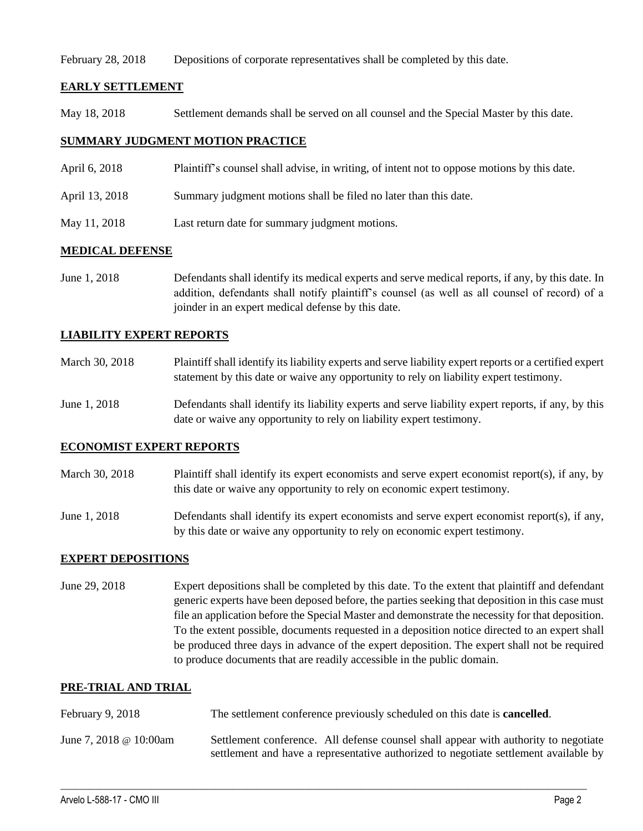February 28, 2018 Depositions of corporate representatives shall be completed by this date.

# **EARLY SETTLEMENT**

May 18, 2018 Settlement demands shall be served on all counsel and the Special Master by this date.

# **SUMMARY JUDGMENT MOTION PRACTICE**

- April 6, 2018 Plaintiff's counsel shall advise, in writing, of intent not to oppose motions by this date.
- April 13, 2018 Summary judgment motions shall be filed no later than this date.
- May 11, 2018 Last return date for summary judgment motions.

# **MEDICAL DEFENSE**

June 1, 2018 Defendants shall identify its medical experts and serve medical reports, if any, by this date. In addition, defendants shall notify plaintiff's counsel (as well as all counsel of record) of a joinder in an expert medical defense by this date.

# **LIABILITY EXPERT REPORTS**

| March 30, 2018 | Plaintiff shall identify its liability experts and serve liability expert reports or a certified expert |
|----------------|---------------------------------------------------------------------------------------------------------|
|                | statement by this date or waive any opportunity to rely on liability expert testimony.                  |
|                |                                                                                                         |

June 1, 2018 Defendants shall identify its liability experts and serve liability expert reports, if any, by this date or waive any opportunity to rely on liability expert testimony.

# **ECONOMIST EXPERT REPORTS**

- March 30, 2018 Plaintiff shall identify its expert economists and serve expert economist report(s), if any, by this date or waive any opportunity to rely on economic expert testimony.
- June 1, 2018 Defendants shall identify its expert economists and serve expert economist report(s), if any, by this date or waive any opportunity to rely on economic expert testimony.

# **EXPERT DEPOSITIONS**

June 29, 2018 Expert depositions shall be completed by this date. To the extent that plaintiff and defendant generic experts have been deposed before, the parties seeking that deposition in this case must file an application before the Special Master and demonstrate the necessity for that deposition. To the extent possible, documents requested in a deposition notice directed to an expert shall be produced three days in advance of the expert deposition. The expert shall not be required to produce documents that are readily accessible in the public domain.

# **PRE-TRIAL AND TRIAL**

- February 9, 2018 The settlement conference previously scheduled on this date is **cancelled**.
- June 7, 2018 @ 10:00am Settlement conference. All defense counsel shall appear with authority to negotiate settlement and have a representative authorized to negotiate settlement available by

 $\_$  ,  $\_$  ,  $\_$  ,  $\_$  ,  $\_$  ,  $\_$  ,  $\_$  ,  $\_$  ,  $\_$  ,  $\_$  ,  $\_$  ,  $\_$  ,  $\_$  ,  $\_$  ,  $\_$  ,  $\_$  ,  $\_$  ,  $\_$  ,  $\_$  ,  $\_$  ,  $\_$  ,  $\_$  ,  $\_$  ,  $\_$  ,  $\_$  ,  $\_$  ,  $\_$  ,  $\_$  ,  $\_$  ,  $\_$  ,  $\_$  ,  $\_$  ,  $\_$  ,  $\_$  ,  $\_$  ,  $\_$  ,  $\_$  ,